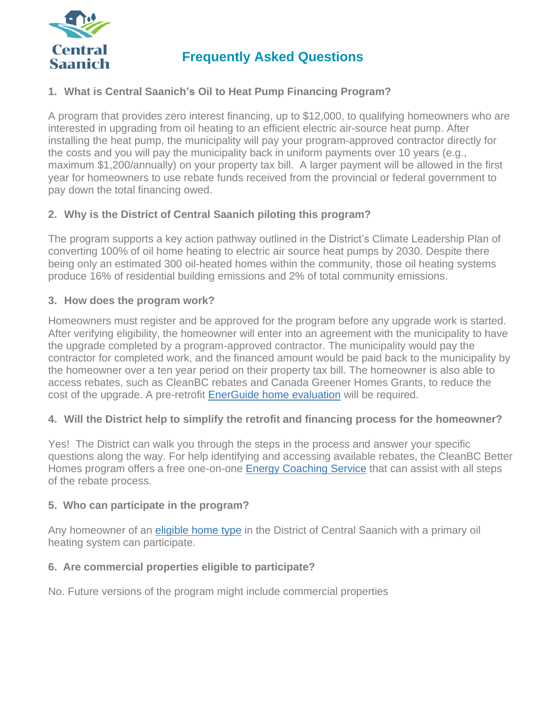

# **Frequently Asked Questions**

# **1. What is Central Saanich's Oil to Heat Pump Financing Program?**

A program that provides zero interest financing, up to \$12,000, to qualifying homeowners who are interested in upgrading from oil heating to an efficient electric air-source heat pump. After installing the heat pump, the municipality will pay your program-approved contractor directly for the costs and you will pay the municipality back in uniform payments over 10 years (e.g., maximum \$1,200/annually) on your property tax bill. A larger payment will be allowed in the first year for homeowners to use rebate funds received from the provincial or federal government to pay down the total financing owed.

# **2. Why is the District of Central Saanich piloting this program?**

The program supports a key action pathway outlined in the District's Climate Leadership Plan of converting 100% of oil home heating to electric air source heat pumps by 2030. Despite there being only an estimated 300 oil-heated homes within the community, those oil heating systems produce 16% of residential building emissions and 2% of total community emissions.

#### **3. How does the program work?**

Homeowners must register and be approved for the program before any upgrade work is started. After verifying eligibility, the homeowner will enter into an agreement with the municipality to have the upgrade completed by a program-approved contractor. The municipality would pay the contractor for completed work, and the financed amount would be paid back to the municipality by the homeowner over a ten year period on their property tax bill. The homeowner is also able to access rebates, such as CleanBC rebates and Canada Greener Homes Grants, to reduce the cost of the upgrade. A pre-retrofit [EnerGuide](https://betterhomesbc.ca/renovation/faq/faqs-categories/?category=energuide-home-evaluations#faqs-1118) home evaluation will be required.

#### **4. Will the District help to simplify the retrofit and financing process for the homeowner?**

Yes! The District can walk you through the steps in the process and answer your specific questions along the way. For help identifying and accessing available rebates, the CleanBC Better Homes program offers a free one-on-one Energy [Coaching](https://betterhomesbc.ca/connect/) Service that can assist with all steps of the rebate process.

#### **5. Who can participate in the program?**

Any homeowner of an [eligible](https://betterhomesbc.ca/faqs/is-my-home-eligible-for-rebates-or-an-energuide-home-evaluation) home type in the District of Central Saanich with a primary oil heating system can participate.

#### **6. Are commercial properties eligible to participate?**

No. Future versions of the program might include commercial properties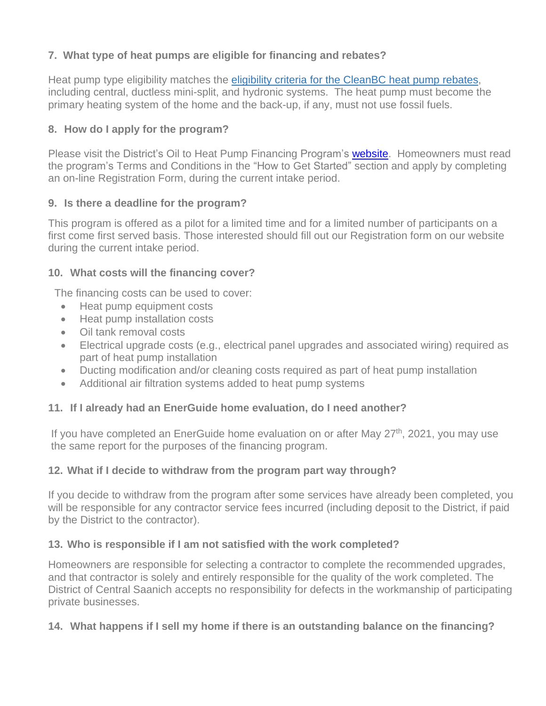# **7. What type of heat pumps are eligible for financing and rebates?**

Heat pump type eligibility matches the eligibility criteria for the [CleanBC](https://betterhomesbc.ca/rebates/cleanbc-better-homes-and-home-renovation-rebate-programs/) heat pump rebates, including central, ductless mini-split, and hydronic systems. The heat pump must become the primary heating system of the home and the back-up, if any, must not use fossil fuels.

# **8. How do I apply for the program?**

Please visit the District's Oil to Heat Pump Financing Program's [website.](https://www.centralsaanich.ca/programs-services/climate-action/oil-heat-pump-financing-program) Homeowners must read the program's Terms and Conditions in the "How to Get Started" section and apply by completing an on-line Registration Form, during the current intake period.

#### **9. Is there a deadline for the program?**

This program is offered as a pilot for a limited time and for a limited number of participants on a first come first served basis. Those interested should fill out our Registration form on our website during the current intake period.

#### **10. What costs will the financing cover?**

The financing costs can be used to cover:

- Heat pump equipment costs
- Heat pump installation costs
- Oil tank removal costs
- Electrical upgrade costs (e.g., electrical panel upgrades and associated wiring) required as part of heat pump installation
- Ducting modification and/or cleaning costs required as part of heat pump installation
- Additional air filtration systems added to heat pump systems

#### **11. If I already had an EnerGuide home evaluation, do I need another?**

If you have completed an EnerGuide home evaluation on or after May 27<sup>th</sup>, 2021, you may use the same report for the purposes of the financing program.

#### **12. What if I decide to withdraw from the program part way through?**

If you decide to withdraw from the program after some services have already been completed, you will be responsible for any contractor service fees incurred (including deposit to the District, if paid by the District to the contractor).

#### **13. Who is responsible if I am not satisfied with the work completed?**

Homeowners are responsible for selecting a contractor to complete the recommended upgrades, and that contractor is solely and entirely responsible for the quality of the work completed. The District of Central Saanich accepts no responsibility for defects in the workmanship of participating private businesses.

#### **14. What happens if I sell my home if there is an outstanding balance on the financing?**